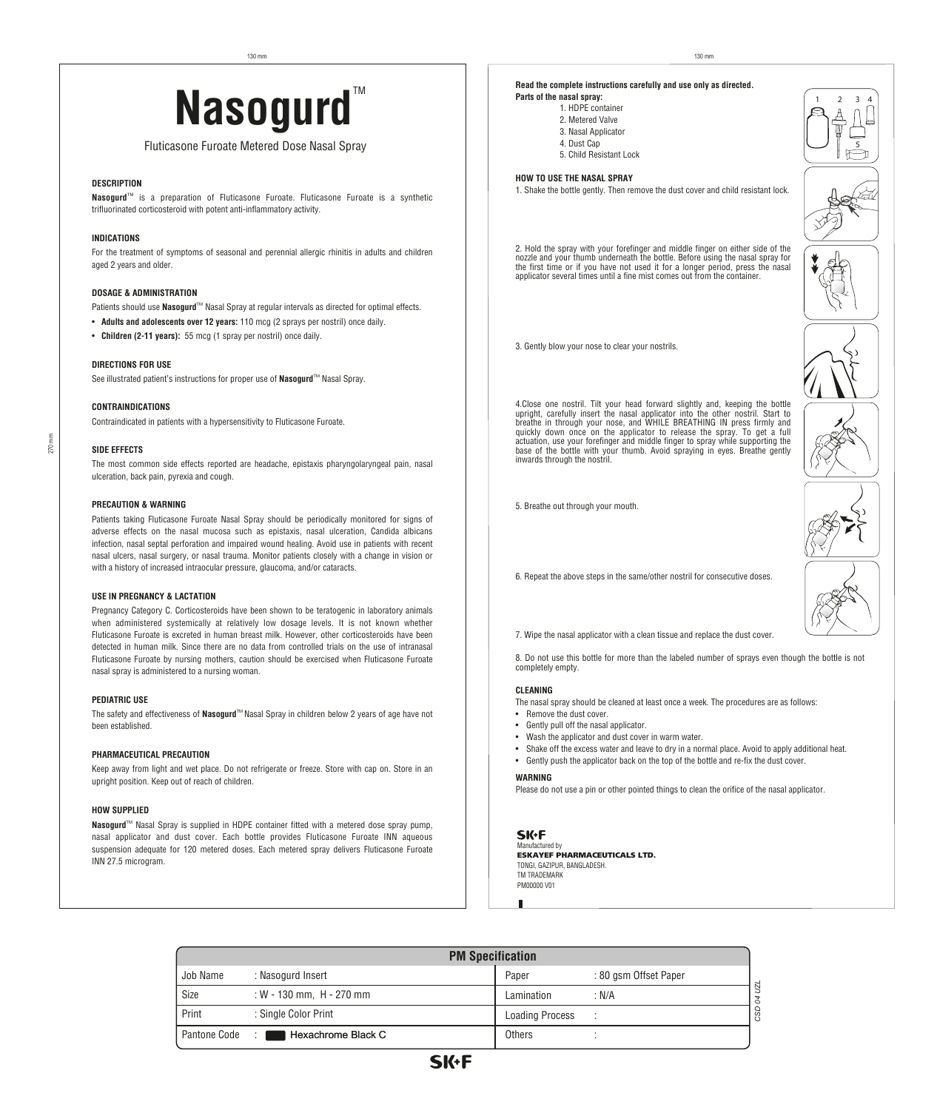# Read the complete instructions carefully and use only as directed.<br>Parts of the nasal spray:<br>2. Metered Valve 2. Metered Valve

# Fluticasone Furoate Metered Dose Nasal Spray

# **DESCRIPTION**

**Nasogurd**<sup>™</sup> is a preparation of Fluticasone Furoate. Fluticasone Furoate is a synthetic trifluorinated corticosteroid with potent anti-inflammatory activity.

# **INDICATIONS**

For the treatment of symptoms of seasonal and perennial allergic rhinitis in adults and children aged 2 years and older.

# **DOSAGE & ADMINISTRATION**

Patients should use **Nasogurd**™ Nasal Spray at regular intervals as directed for optimal effects.

- **Adults and adolescents over 12 years:** 110 mcg (2 sprays per nostril) once daily.
- **Children (2-11 years):** 55 mcg (1 spray per nostril) once daily.

# **DIRECTIONS FOR USE**

See illustrated patient's instructions for proper use of **Nasogurd**™ Nasal Spray.

# **CONTRAINDICATIONS**

Contraindicated in patients with a hypersensitivity to Fluticasone Furoate.

# **SIDE EFFECTS**

270 mm

The most common side effects reported are headache, epistaxis pharyngolaryngeal pain, nasal ulceration, back pain, pyrexia and cough.

# **PRECAUTION & WARNING**

Patients taking Fluticasone Furoate Nasal Spray should be periodically monitored for signs of adverse effects on the nasal mucosa such as epistaxis, nasal ulceration, Candida albicans infection, nasal septal perforation and impaired wound healing. Avoid use in patients with recent nasal ulcers, nasal surgery, or nasal trauma. Monitor patients closely with a change in vision or with a history of increased intraocular pressure, glaucoma, and/or cataracts.

# **USE IN PREGNANCY & LACTATION**

Pregnancy Category C. Corticosteroids have been shown to be teratogenic in laboratory animals when administered systemically at relatively low dosage levels. It is not known whether Fluticasone Furoate is excreted in human breast milk. However, other corticosteroids have been detected in human milk. Since there are no data from controlled trials on the use of intranasal Fluticasone Furoate by nursing mothers, caution should be exercised when Fluticasone Furoate nasal spray is administered to a nursing woman.

# **PEDIATRIC USE**

The safety and effectiveness of **Nasogurd**™ Nasal Spray in children below 2 years of age have not been established.

# **PHARMACEUTICAL PRECAUTION**

Keep away from light and wet place. Do not refrigerate or freeze. Store with cap on. Store in an upright position. Keep out of reach of children.

# **HOW SUPPLIED**

Nasogurd<sup>™</sup> Nasal Spray is supplied in HDPE container fitted with a metered dose spray pump, nasal applicator and dust cover. Each bottle provides Fluticasone Furoate INN aqueous suspension adequate for 120 metered doses. Each metered spray delivers Fluticasone Furoate INN 27.5 microgram.



6. Repeat the above steps in the same/other nostril for consecutive doses.



7. Wipe the nasal applicator with a clean tissue and replace the dust cover.

8. Do not use this bottle for more than the labeled number of sprays even though the bottle is not completely empty.

## **CLEANING**

- The nasal spray should be cleaned at least once a week. The procedures are as follows:
- Remove the dust cover.
- Gently pull off the nasal applicator.

**Parts of the nasal spray:**

 1. HDPE container 2. Metered Valve 3. Nasal Applicator 4. Dust Cap

5. Child Resistant Lock

3. Gently blow your nose to clear your nostrils.

inwards through the nostril.

5. Breathe out through your mouth.

applicator several times until a fine mist comes out from the container.

**HOW TO USE THE NASAL SPRAY**

- Wash the applicator and dust cover in warm water.
- Shake off the excess water and leave to dry in a normal place. Avoid to apply additional heat.
- Gently push the applicator back on the top of the bottle and re-fix the dust cover.

# **WARNING**

Please do not use a pin or other pointed things to clean the orifice of the nasal applicator.

## **SK+F** nufactured by

**ESKAYEF PHARMACEUTICALS LTD.** TONGI, GAZIPUR, BANGLADESH. TM TRADEMARK PM00000 V01

| <b>PM Specification</b> |                            |                        |                       |  |
|-------------------------|----------------------------|------------------------|-----------------------|--|
| Job Name                | : Nasogurd Insert          | Paper                  | : 80 gsm Offset Paper |  |
| Size                    | : W - 130 mm, $H - 270$ mm | Lamination             | : N/A                 |  |
| Print                   | : Single Color Print       | <b>Loading Process</b> |                       |  |
| Pantone Code            | Hexachrome Black C<br>- 1  | Others                 |                       |  |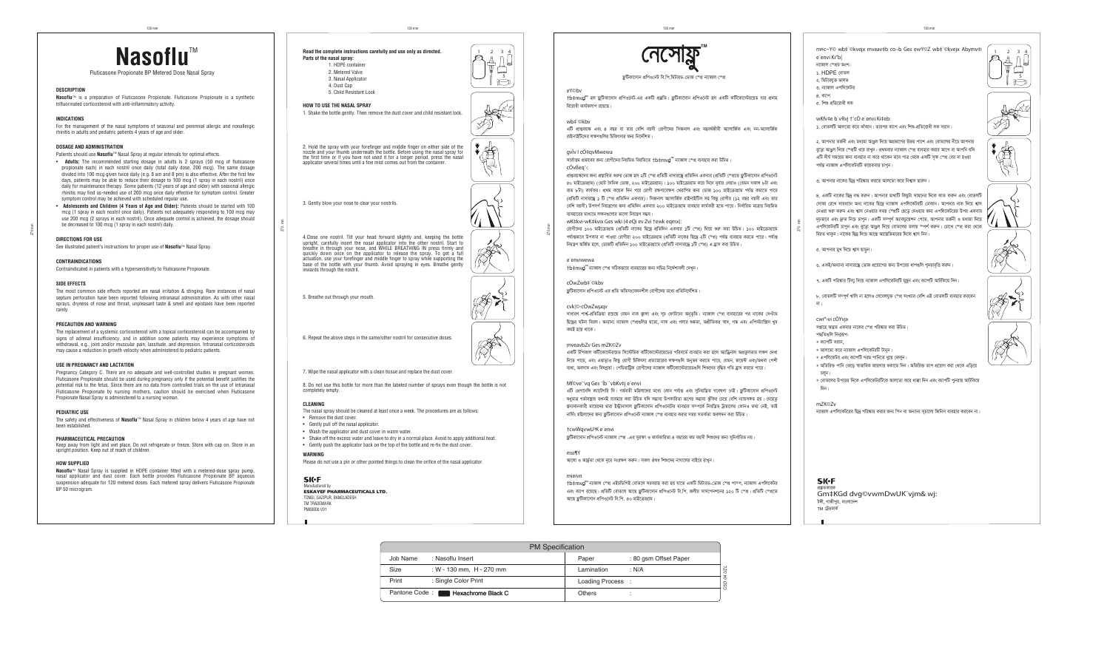Manufactured by ESKAYEF PHARMACEUTICALS LTD. TONGI, GAZIPUR, BANGLADESH.

TM TRADEMARK PM00000 V01

# **DESCRIPTION**

**Nasoflu**TM is a preparation of Fluticasone Propionate. Fluticasone Propionate is a synthetic trifluorinated corticosteroid with anti-inflammatory activity.

# **INDICATIONS**

For the management of the nasal symptoms of seasonal and perennial allergic and nonallergic rhinitis in adults and pediatric patients 4 years of age and older.

# **DOSAGE AND ADMINISTRATION**

Patients should use **Nasoflu**™ Nasal Spray at regular intervals for optimal effects.

- **Adults:** The recommended starting dosage in adults is 2 sprays (50 mcg of fluticasone propionate each) in each nostril once daily (total daily dose, 200 mcg). The same dosage divided into 100 mcg given twice daily (e.g. 8 am and 8 pm) is also effective. After the first few days, patients may be able to reduce their dosage to 100 mcg (1 spray in each nostril) once daily for maintenance therapy. Some patients (12 years of age and older) with seasonal allergic rhinitis may find as-needed use of 200 mcg once daily effective for symptom control. Greater symptom control may be achieved with scheduled regular use.
- **Adolescents and Children (4 Years of Age and Older):** Patients should be started with 100 mcg (1 spray in each nostril once daily). Patients not adequately responding to 100 mcg may use 200 mcg (2 sprays in each nostril). Once adequate control is achieved, the dosage should be decreased to 100 mcg (1 spray in each nostril) daily.

The safety and effectiveness of **Nasoflu**™ Nasal Spray in children below 4 years of age have not been established.

# **DIRECTIONS FOR USE**

# **CONTRAINDICATIONS**

Contraindicated in patients with a hypersensitivity to Fluticasone Propionate.

# **SIDE EFFECTS**

| on                |                       |            |
|-------------------|-----------------------|------------|
| Paper             | : 80 gsm Offset Paper |            |
| Lamination        | : N/A                 |            |
| Loading Process : |                       | CSD 04 UZL |
| <b>Others</b>     |                       |            |

The most common side effects reported are nasal irritation & stinging. Rare instances of nasal septum perforation have been reported following intranasal administration. As with other nasal sprays, dryness of nose and throat, unpleasant taste & smell and epistaxis have been reported rarely.

# **PRECAUTION AND WARNING**

The replacement of a systemic corticosteroid with a topical corticosteroid can be accompanied by signs of adrenal insufficiency, and in addition some patients may experience symptoms of withdrawal, e.g., joint and/or muscular pain, lassitude, and depression. Intranasal corticosteroids may cause a reduction in growth velocity when administered to pediatric patients.

# **USE IN PREGNANCY AND LACTATION**

Pregnancy Category C. There are no adequate and well-controlled studies in pregnant women. Fluticasone Propionate should be used during pregnancy only if the potential benefit justifies the potential risk to the fetus. Since there are no data from controlled trials on the use of intranasal Fluticasone Propionate by nursing mothers, caution should be exercised when Fluticasone Propionate Nasal Spray is administered to a nursing woman.

# **PEDIATRIC USE**

# **PHARMACEUTICAL PRECAUTION**

Keep away from light and wet place. Do not refrigerate or freeze. Store with cap on. Store in an upright position. Keep out of reach of children.

# **HOW SUPPLIED**

**Nasoflu**TM Nasal Spray is supplied in HDPE container fitted with a metered-dose spray pump, nasal applicator and dust cover. Each bottle provides Fluticasone Propionate BP aqueous suspension adequate for 120 metered doses. Each metered spray delivers Fluticasone Propionate BP 50 microgram.

 $1 \t2 \t3 \t4$ 



*†ivMx‡`i 100 gvB‡µvMÖvg (cÖwZwU bv‡Ki wQ‡`ª cÖwZw`b GKevi 1wU †¯cÖ) w`‡q ïiæ Kiv DwPZ| 100 gvB‡µvMÖv‡g*  পর্যাপ্তভাবে উপকার না পাওয়া রোগীরা ২০০ মাইক্রোগ্রাম (প্রতিটি নাকের ছিদ্রে ২টি স্প্রে) পর্যন্ত ব্যবহার করতে পারে। পর্যাপ্ত  $\bar{f}$ দয়ন্ত্রণ অর্জিত হলে, ডোজটি প্রতিদিন ১০০ মাইক্রোগ্রামে (প্রতিটি নাসারন্ধে ১টি স্প্রে) এ হ্রাস করা উচিত

270 mm

See illustrated patient's instructions for proper use of **Nasoflu**™ Nasal Sprav

|          | <b>PM</b> Specification          |    |
|----------|----------------------------------|----|
| Job Name | : Nasoflu Insert                 | Pа |
| Size     | : W - 130 mm, H - 270 mm         | La |
| Print    | : Single Color Print             | L٥ |
|          | Pantone Code: Hexachrome Black C | ∩t |







**mveavbZv Ges mZK©Zv** একটি টপিকাল কর্টিকোস্টেরয়েড সিস্টেমিক কর্টিকোস্টেরয়েডের পরিবর্তে ব্যবহার করা হলে অ্যাড্রিনাল অপ্রতুলতার লক্ষণ দেখা *দি*তে পারে, এবং এছাড়াও কিছু রোগী চিকিৎসা প্রত্যাহারের লক্ষণগুলি অনুভব করতে পারে, যেমন, জয়েন্ট এবং/অথবা পেশী *ব্য*থা, অবসাদ এবং বিষণ্ণতা। পেডিয়াট্রিক রোগীদের ন্যাজাল কর্টিকোস্টেরয়েডগুলি শিশুদের বৃদ্ধির গতি হ্রাস করতে পারে।

**Parts of the nasal spray:**

 1. HDPE container 2. Metered Valve 3. Nasal Applicator 4. Dust Cap

5. Child Resistant Lock

**HOW TO USE THE NASAL SPRAY**

1. Shake the bottle gently. Then remove the dust cover and child resistant lock.

Read the complete instructions carefully and use only as directed.

2. Hold the spray with your forefinger and middle finger on either side of the nozzle and your thumb underneath the bottle. Before using the nasal spray for the first time or if you have not used it for a longer period, press the nasal applicator several times until a fine mist comes out from the container.

3. Gently blow your nose to clear your nostrils.

# **m¤c~Y© wb‡`©kvejx mveav‡b co–b Ges ewY©Z wb‡`©kvejx Abymv‡i e¨envi Ki"b|** <sup>া</sup>মাজাল স্পের অংশ

4.Close one nostril. Tilt your head forward slightly and, keeping the bottle upright, carefully insert the nasal applicator into the other nostril. Start to breathe in through your nose, and WHILE BREATHING IN press firmly and quickly down once on the applicator to release the spray. To get a full actuation, use your forefinger and middle finger to spray while supporting the base of the bottle with your thumb. Avoid spraying in eyes. Breathe gently inwards through the nostril.

5. Breathe out through your mouth.

6. Repeat the above steps in the same/other nostril for consecutive doses.

7. Wipe the nasal applicator with a clean tissue and replace the dust cover.

 ${\bf b}$  বোতলটি সম্পর্ণ খালি না হলেও লেবেলযজ স্প্রে সংখ্যার বেশি এই বোতলটি ব্যবহার করবেন *bv|*

8. Do not use this bottle for more than the labeled number of sprays even though the bottle is not completely empty.

# **CLEANING**

The nasal spray should be cleaned at least once a week. The procedures are as follows:

- Remove the dust cover.
- Gently pull off the nasal applicator.
- Wash the applicator and dust cover in warm water.
- Shake off the excess water and leave to dry in a normal place. Avoid to apply additional heat.
- Gently push the applicator back on the top of the bottle and re-fix the dust cover.

## **WARNING**

Please do not use a pin or other pointed things to clean the orifice of the nasal applicator.

# **SK+F**

Fluticasone Propionate BP Metered Dose Nasal Spray<br>  $\begin{array}{ccc}\n\bullet & \bullet & \bullet \\
\bullet & \bullet & \bullet \\
\bullet & \bullet & \bullet\n\end{array}$ <br>  $\begin{array}{ccc}\n\bullet & \bullet & \bullet \\
\bullet & \bullet & \bullet \\
\bullet & \bullet & \bullet\n\end{array}$ <br>  $\begin{array}{ccc}\n\bullet & \bullet & \bullet \\
\bullet & \bullet & \bullet & \bullet \\
\bullet & \bullet & \bullet & \bullet\n\end{array}$ 

270 mm

130 mm

- $\lambda$ . **HDPE** বোতল
- ২. মিটারযুক্ত ভালভ
- ৩. ন্যাজাল এপলিকেটর
- *4. K¨vc*
- ৫. শিশু প্রতিরোধী লক

270 mm

৬. একই/অন্যান্য নাসারন্ধ্রে ডোজ প্রয়োগের জন্য উপরের ধাপগুলি পুনরাবৃত্তি করুন।

# **eY©bv**

<code>†b‡mv</code>্ $\mathbb{J}^{\mathfrak{m}}$  হল ফ্লুটিকাসোন প্ৰপিওনেট-এর একটি প্রস্তুতি। ফ্লুটিকাসোন প্রপিওনেট হল একটি কর্টিকোস্টেরয়েড যার প্রদাহ *বি*রোধী কার্যকলাপ রয়েছে।

# **wb‡`©kbv**

এটি প্ৰাপ্তবয়স্ক এবং ৪ বছর বা তার বেশি বয়সী রোগীদের সিজনাল এবং বহুবর্ষজীবী অ্যালার্জিক এবং নন-অ্যালার্জিক *রাইনাইটিসের লক্ষণ*ংলির চিকিৎসার জন্য নির্দেশিত।

270 mm **cÖvßeq¯‹:**

*ফ্রু*টিকাসোন প্রপিওনেট এর প্রতি অতিসংবেদনশীল রোগীদের মধ্যে প্রতিনির্দেশিত।

সাধারণ পার্শ্ব-প্রতিক্রিয়া রয়েছে যেমন নাক জ্বালা এবং সূচ ফোটানো অনুভূতি। ন্যাজাল স্প্রে ব্যবহারের পর নাকের সেপ্টাম *ছি*দ্ৰের ঘটনা বিরল। অন্যান্য ন্যাজাল স্প্রেগুলির মতো, নাক এবং গলার শুষ্কতা, অপ্রীতিকর স্বাদ, গন্ধ এবং এপিস্ট্যাক্সিস খুব কমই হয়ে থাকে।

# **gvÎv I cÖ‡qvMwewa**

সর্বোত্তম প্রভাবের জন্য রোগীদের নিয়মিত বিরতিতে †b‡mv $\mathcal{Q}^{\textsf{I} \textsf{I} \textsf{m}}$ ন্যাজাল স্প্রে ব্যবহার করা উচিত।

*c*)াপ্তবয়স্কদের জন্য প্রস্নাবিত শুরুর ডোজ হল ১টি স্প্রে প্রতিটি নাসারস্কে প্রতিদিন একবার (প্রতিটি স্প্রেচে ফটিকাসোন প্রপিওনেট *6*০ মাইক্রোগ্রাম) (মোট দৈনিক ডোজ, ২০০ মাইক্রোগ্রাম)। ১০০ মাইক্রোগ্রাম করে দিনে দুবার দেয়াও (যেমন সকাল ৮টা এবং ৱাত ৮টা) কাৰ্যকৱ। প্ৰথম কয়েক দিন পৱে রোগী রক্ষণাবেক্ষণ থেৱাপির জন্য ডোজ ১০০ মাইক্রোগ্রাম পর্যন্ত কমাতে পারে *(প্র*তিটি নাসারন্ধ্রে ১ টি স্প্রে প্রতিদিন একবার)। সিজনাল অ্যালার্জিক রাইনাইটিস সহ কিছু রোগীর (১২ বছর বয়সী এবং তার *(*বশি বয়সী) উপসর্গ নিয়ন্ত্রণের জন্য প্রতিদিন একবার ২০০ মাইক্রোগ্রাম ব্যবহার কার্যকরী হতে পারে। নির্ধারিত মাত্রায় নিয়মিত ব্যবহারের মাধ্যমে লক্ষনগুলোর ভালো নিয়ন্ত্রণ সম্ভব।

# **wK‡kvi-wK‡kvix Ges wkï (4 eQi ev Zvi †ewk eqmx):**

# **e¨enviwewa**

 $\dagger$ b‡mv $\mathsf{Q}$ ।™ ন্যাজাল স্প্রে সঠিকভাবে ব্যবহারের জন্য সচিত্র নির্দেশাবলী দেখুন।

# **cÖwZwb‡`©kbv**

# **cvk¦©-cÖwZwµqv**

# **Mf©ve¯'vq Ges ¯Íb¨`vbKv‡j e¨envi**

এটি প্রেগনেন্সি ক্যাটেগরি সি। গর্ভবতী মহিলাদের মধ্যে কোন পর্যাপ্ত এবং সুনিয়ন্ত্রিত গবেষণা নেই। ফ্রুটিকাসোন প্রপিওনেট শুধুমাত্র গর্ভাবস্থায় তখনই ব্যবহার করা উচিত যদি সম্ভাব্য উপকারিতা ভ্রূণের সম্ভাব্য ঝুঁকির চেয়ে বেশি ন্যায়সঙ্গত হয়। যেহেতু ন্তন্যদানকারী মায়েদের দ্বারা ইন্টানাসাল ফ্রটিকাসোন প্রপিওনেটের ব্যবহার সম্পর্কে নিয়ন্ত্রিত ট্রায়ালের কোনও তথ্য নেই, তাই নার্সিং মহিলাদের জন্য ফ্রুটিকাসোন প্রপিওনেট ন্যাজাল স্প্রে ব্যবহার করার সময় সতর্কতা অবলম্বন করা উচিত।

# **†cwWqvwUªK e¨envi**

ফ্লুটিকাসোন প্রপিওনেট ন্যাজাল স্প্রে -এর সুরক্ষা ও কার্যকারিতা ৪ বছরের কম বয়সী শিশুদের জন্য সুনির্ধারিত নয়।

আলো ও আর্দ্রতা থেকে দূরে সংরক্ষণ করুন। সকল ঔষধ শিশুদের নাগালের বাইরে রাখুন।

**msi¶Y**

**mieivn** † $b$ ‡mv $\boldsymbol{\mathsf{g}}$ ™ ন্যাজাল স্প্রে এইচডিপিই বোতলে সরবরাহ করা হয় যাতে একটি মিটারড-ডোজ স্প্রে পাম্প, ন্যাজাল এপলিকেটর এবং ক্যাপ রয়েছে। প্রতিটি বোতলে আছে ফ্রুটিকাসোন প্রপিওনেট বি.পি. জলীয় সাসপেনশনের ১২০ টি স্প্রে। প্রতিটি স্প্রতে *Av‡Q d¬zwUKv‡mvb cÖwcI‡bU we.wc. 50 gvB‡µvMÖvg|*

**wKfv‡e b¨vRvj †¯cÖ e¨envi Ki‡eb:**

১. বোতলটি আলতো করে ঝাঁকান। তারপর ক্যাপ এবং শিশু-প্রতিরোধী লক সরান।

২. আপনার তর্জনী এবং মধ্যমা আঙুল দিয়ে অগ্রভাগের উভয় পাশে এবং বোতলের নীচে আপনার বডো আঙল দিয়ে স্প্রেটি ধরে রাখন। প্রথমবার ন্যাজাল স্প্রে ব্যবহার করার আগে বা আপনি যদি এটি দীর্ঘ সময়ের জন্য ব্যবহার না করে থাকেন তবে পাত্র থেকে একটি সক্ষ স্প্রে বের না হওয়া \_<br>পৰ্যন্ত ন্যাজাল এপলিকেটবটি কম্যেকবাব চাপন ।

<u>√১. অাপনার নাকের চিদ পরিষ্কার করতে আলতে্গ করে নিশ্বাস চাকন ।</u>

 $\,$ ৪. একটি নাকের ছিদ্র বন্ধ করুন। আপনার মাথাটি কিছুটা সামনের দিকে কাত করুন এবং বোতলটি *†mvRv †i‡L mveav‡b Ab¨ bv‡Ki wQ‡`ª b¨vRvj Gcwj‡KUiwU †XvKvb| Avcbvi bvK w`‡q k¦vm †bIqv ïiæ Kiæb Ges k¦vm †bIqvi mgq †¯cÖwU †Q‡o †`Iqvi Rb¨ Gcwj‡KU‡ii Dci GKevi*  'দৃঢ়ভাবে এবং দ্রুত নিচে চাপুন। একটি সম্পূর্ণ অ্যাকচুয়েশন পেতে, আপনার তর্জনী ও মধ্যমা দিয়ে ু<br>এপলিকেটরটি চাপন এবং বডো আঙল দিয়ে বোতলের তলায় স্পর্শ করন। চোখে স্প্রে করা থেকে  $\sqrt{2\pi}$  বিরত থাকন। নাকের ছিদ দিয়ে আস্কে আস্তেভিতরের দিকে শ্বাস নিন।

*৫.* আপনার মুখ দিয়ে শ্বাস ছাড়ন।

*7. GKwU cwi®‹vi wUm¨y w`‡q b¨vRvj Gcwj‡KUiwU gyQzb Ges K¨vcwU AvUwK‡q w`b|*

# **cwi®‹vi cÖYvjx**

সপ্তাহে অন্তত একবার নাকের *স্প্রে* পরিষ্কার করা উচিত।

- পদ্ধলিগুলি নিনাকপ
- *\* K¨vcwU mivb,*
- *\* Avj‡Zv K‡i b¨vRvj Gcwj‡KUiwU Uvbyb|*
- $\ast$  এপলিকেটর এবং ক্যাপটি গরম পানিতে ধুয়ে ফেলুন।
- $\,$  \* অতিরিক্ত পানি ঝেডে স্বাভাবিক জায়গায় শুকাতে দিন। অতিরিক্ত তাপ প্রয়োগ করা থেকে এডিয়ে  *Pjyb|*
- $\,$ \* বোতলের উপরের দিকে এপলিকেটরটিকে আলতো করে ধাক্কা দিন এবং ক্যাপটি পনরায় আটকিয়ে  $\widehat{b}$ ন

# **mZK©Zv**

*-* ন্যাজাল এপলিকেটরের ছিদ্র পরিষ্কার করার জন্য পিন বা অন্যান্য সূচালো জিনিস ব্যবহার করবেন না।

# **SK+F**

*প্ৰ*স্তকাবক **Gm‡KGd dvg©vwmDwUK¨vjm& wj:** *টঙ্গী*, গাজীপুর, বাংলাদেশ TM ট্ৰেডমাৰ্ক

 $\bigcirc$ 













2 3







# **TM**

 $\overline{\mathbf{x}}$ টিকাসোন প্ৰপিওনেট বি.পি.মিটারড-ডোজ স্প্রে ন্যাজাল স্প্রে